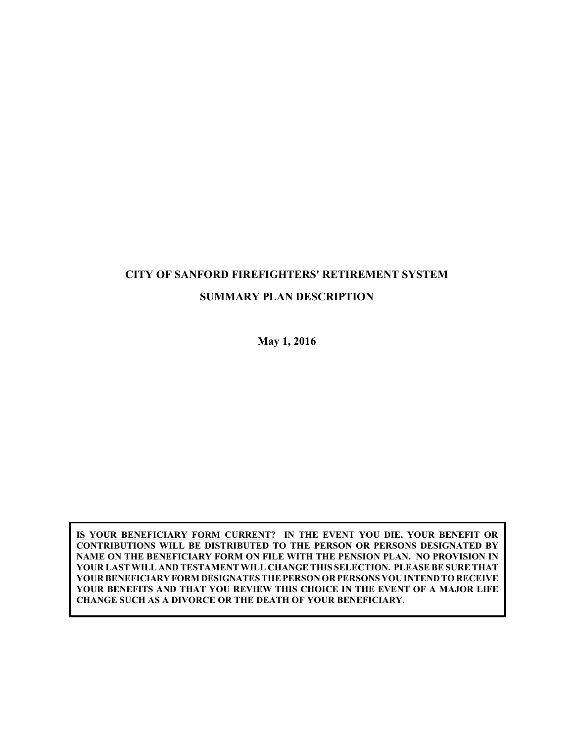# **CITY OF SANFORD FIREFIGHTERS' RETIREMENT SYSTEM SUMMARY PLAN DESCRIPTION**

**May 1, 2016**

**IS YOUR BENEFICIARY FORM CURRENT? IN THE EVENT YOU DIE, YOUR BENEFIT OR CONTRIBUTIONS WILL BE DISTRIBUTED TO THE PERSON OR PERSONS DESIGNATED BY NAME ON THE BENEFICIARY FORM ON FILE WITH THE PENSION PLAN. NO PROVISION IN YOUR LAST WILL AND TESTAMENT WILL CHANGE THIS SELECTION. PLEASE BE SURE THAT YOUR BENEFICIARYFORMDESIGNATES THE PERSON ORPERSONS YOU INTEND TORECEIVE YOUR BENEFITS AND THAT YOU REVIEW THIS CHOICE IN THE EVENT OF A MAJOR LIFE CHANGE SUCH AS A DIVORCE OR THE DEATH OF YOUR BENEFICIARY.**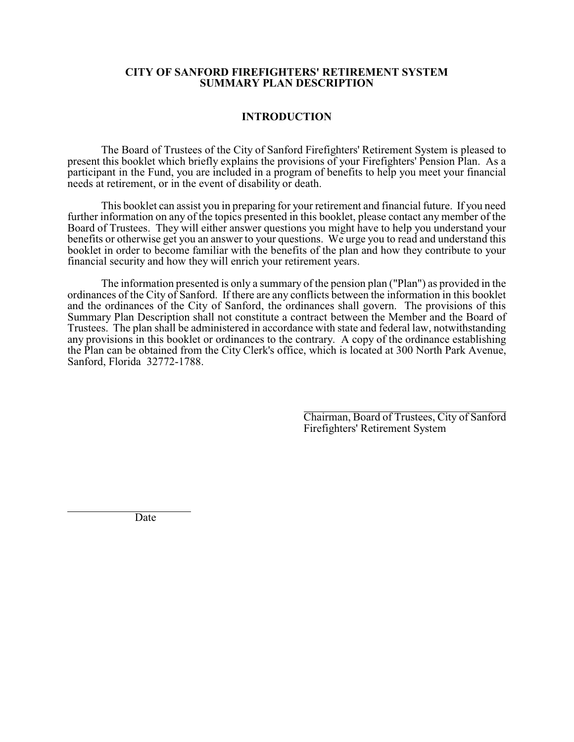#### **CITY OF SANFORD FIREFIGHTERS' RETIREMENT SYSTEM SUMMARY PLAN DESCRIPTION**

#### **INTRODUCTION**

The Board of Trustees of the City of Sanford Firefighters' Retirement System is pleased to present this booklet which briefly explains the provisions of your Firefighters' Pension Plan. As a participant in the Fund, you are included in a program of benefits to help you meet your financial needs at retirement, or in the event of disability or death.

This booklet can assist you in preparing for your retirement and financial future. If you need further information on any of the topics presented in this booklet, please contact any member of the Board of Trustees. They will either answer questions you might have to help you understand your benefits or otherwise get you an answer to your questions. We urge you to read and understand this booklet in order to become familiar with the benefits of the plan and how they contribute to your financial security and how they will enrich your retirement years.

The information presented is only a summary of the pension plan ("Plan") as provided in the ordinances of the City of Sanford. If there are any conflicts between the information in this booklet and the ordinances of the City of Sanford, the ordinances shall govern. The provisions of this Summary Plan Description shall not constitute a contract between the Member and the Board of Trustees. The plan shall be administered in accordance with state and federal law, notwithstanding any provisions in this booklet or ordinances to the contrary. A copy of the ordinance establishing the Plan can be obtained from the City Clerk's office, which is located at 300 North Park Avenue, Sanford, Florida 32772-1788.

> l Chairman, Board of Trustees, City of Sanford Firefighters' Retirement System

Date

l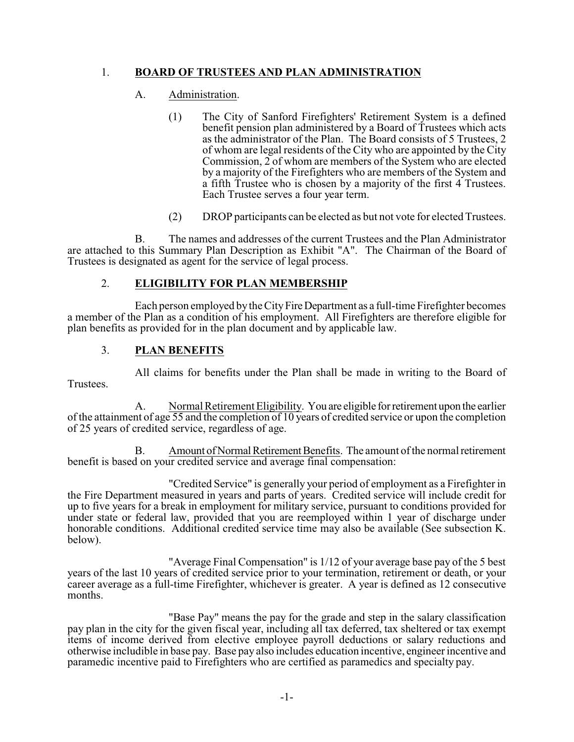# 1. **BOARD OF TRUSTEES AND PLAN ADMINISTRATION**

# A. Administration.

- (1) The City of Sanford Firefighters' Retirement System is a defined benefit pension plan administered by a Board of Trustees which acts as the administrator of the Plan. The Board consists of 5 Trustees, 2 of whom are legal residents of the City who are appointed by the City Commission, 2 of whom are members of the System who are elected by a majority of the Firefighters who are members of the System and a fifth Trustee who is chosen by a majority of the first 4 Trustees. Each Trustee serves a four year term.
- (2) DROP participants can be elected as but not vote for elected Trustees.

B. The names and addresses of the current Trustees and the Plan Administrator are attached to this Summary Plan Description as Exhibit "A". The Chairman of the Board of Trustees is designated as agent for the service of legal process.

# 2. **ELIGIBILITY FOR PLAN MEMBERSHIP**

Each person employed bythe CityFireDepartment as a full-time Firefighter becomes a member of the Plan as a condition of his employment. All Firefighters are therefore eligible for plan benefits as provided for in the plan document and by applicable law.

# 3. **PLAN BENEFITS**

All claims for benefits under the Plan shall be made in writing to the Board of **Trustees** 

A. Normal Retirement Eligibility. You are eligible forretirement upon the earlier of the attainment of age 55 and the completion of 10 years of credited service or upon the completion of 25 years of credited service, regardless of age.

B. Amount of Normal Retirement Benefits. The amount of the normal retirement benefit is based on your credited service and average final compensation:

"Credited Service" is generally your period of employment as a Firefighter in the Fire Department measured in years and parts of years. Credited service will include credit for up to five years for a break in employment for military service, pursuant to conditions provided for under state or federal law, provided that you are reemployed within 1 year of discharge under honorable conditions. Additional credited service time may also be available (See subsection K. below).

"Average Final Compensation" is 1/12 of your average base pay of the 5 best years of the last 10 years of credited service prior to your termination, retirement or death, or your career average as a full-time Firefighter, whichever is greater. A year is defined as 12 consecutive months.

"Base Pay" means the pay for the grade and step in the salary classification pay plan in the city for the given fiscal year, including all tax deferred, tax sheltered or tax exempt items of income derived from elective employee payroll deductions or salary reductions and otherwise includible in base pay. Base pay also includes education incentive, engineer incentive and paramedic incentive paid to Firefighters who are certified as paramedics and specialty pay.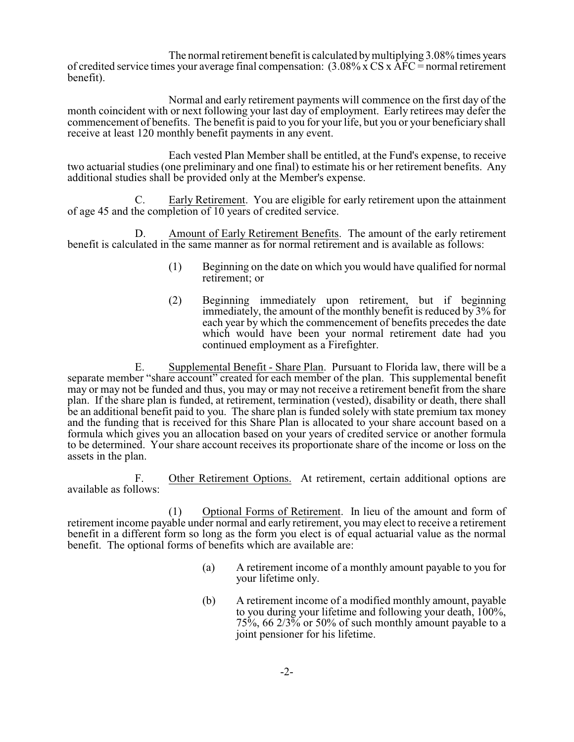The normal retirement benefit is calculated bymultiplying 3.08% times years of credited service times your average final compensation:  $(3.08\% \times CS \times \overline{AFC} =$  normal retirement benefit).

Normal and early retirement payments will commence on the first day of the month coincident with or next following your last day of employment. Early retirees may defer the commencement of benefits. The benefit is paid to you for your life, but you or your beneficiary shall receive at least 120 monthly benefit payments in any event.

Each vested Plan Member shall be entitled, at the Fund's expense, to receive two actuarial studies (one preliminary and one final) to estimate his or her retirement benefits. Any additional studies shall be provided only at the Member's expense.

C. Early Retirement. You are eligible for early retirement upon the attainment of age 45 and the completion of 10 years of credited service.

D. Amount of Early Retirement Benefits. The amount of the early retirement benefit is calculated in the same manner as for normal retirement and is available as follows:

- (1) Beginning on the date on which you would have qualified for normal retirement; or
- (2) Beginning immediately upon retirement, but if beginning immediately, the amount of the monthly benefit is reduced by 3% for each year by which the commencement of benefits precedes the date which would have been your normal retirement date had you continued employment as a Firefighter.

E. Supplemental Benefit - Share Plan. Pursuant to Florida law, there will be a separate member "share account" created for each member of the plan. This supplemental benefit may or may not be funded and thus, you may or may not receive a retirement benefit from the share plan. If the share plan is funded, at retirement, termination (vested), disability or death, there shall be an additional benefit paid to you. The share plan is funded solely with state premium tax money and the funding that is received for this Share Plan is allocated to your share account based on a formula which gives you an allocation based on your years of credited service or another formula to be determined. Your share account receives its proportionate share of the income or loss on the assets in the plan.

F. Other Retirement Options. At retirement, certain additional options are available as follows:

(1) Optional Forms of Retirement. In lieu of the amount and form of retirement income payable under normal and early retirement, you may elect to receive a retirement benefit in a different form so long as the form you elect is of equal actuarial value as the normal benefit. The optional forms of benefits which are available are:

- (a) A retirement income of a monthly amount payable to you for your lifetime only.
- (b) A retirement income of a modified monthly amount, payable to you during your lifetime and following your death, 100%, 75%, 66  $2/3\frac{1}{2}$  or 50% of such monthly amount payable to a joint pensioner for his lifetime.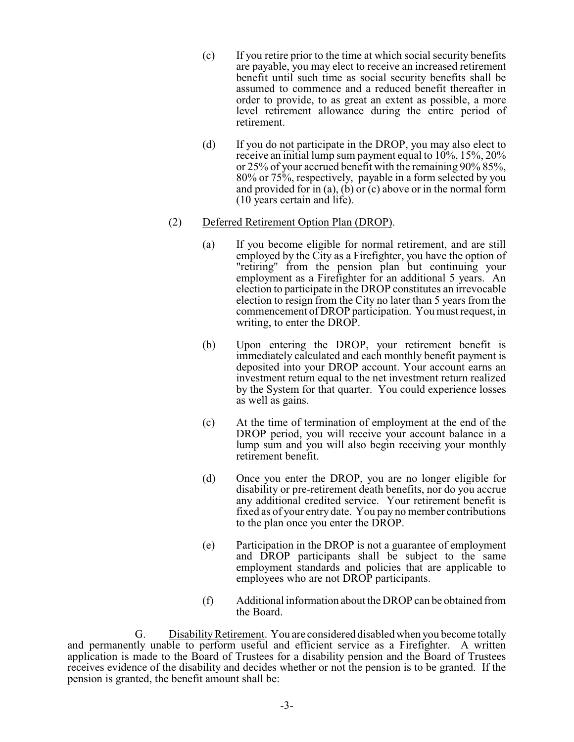- (c) If you retire prior to the time at which social security benefits are payable, you may elect to receive an increased retirement benefit until such time as social security benefits shall be assumed to commence and a reduced benefit thereafter in order to provide, to as great an extent as possible, a more level retirement allowance during the entire period of retirement.
- (d) If you do not participate in the DROP, you may also elect to receive an initial lump sum payment equal to 10%, 15%, 20% or 25% of your accrued benefit with the remaining 90% 85%, 80% or 75%, respectively, payable in a form selected by you and provided for in (a), (b) or (c) above or in the normal form (10 years certain and life).
- (2) Deferred Retirement Option Plan (DROP).
	- (a) If you become eligible for normal retirement, and are still employed by the City as a Firefighter, you have the option of "retiring" from the pension plan but continuing your employment as a Firefighter for an additional 5 years. An election to participate in the DROP constitutes an irrevocable election to resign from the City no later than 5 years from the commencement of DROP participation. You must request, in writing, to enter the DROP.
	- (b) Upon entering the DROP, your retirement benefit is immediately calculated and each monthly benefit payment is deposited into your DROP account. Your account earns an investment return equal to the net investment return realized by the System for that quarter. You could experience losses as well as gains.
	- (c) At the time of termination of employment at the end of the DROP period, you will receive your account balance in a lump sum and you will also begin receiving your monthly retirement benefit.
	- (d) Once you enter the DROP, you are no longer eligible for disability or pre-retirement death benefits, nor do you accrue any additional credited service. Your retirement benefit is fixed as of your entry date. You pay no member contributions to the plan once you enter the DROP.
	- (e) Participation in the DROP is not a guarantee of employment and DROP participants shall be subject to the same employment standards and policies that are applicable to employees who are not DROP participants.
	- (f) Additional information about the DROP can be obtained from the Board.

G. DisabilityRetirement. You are considered disabled when you become totally and permanently unable to perform useful and efficient service as a Firefighter. A written application is made to the Board of Trustees for a disability pension and the Board of Trustees receives evidence of the disability and decides whether or not the pension is to be granted. If the pension is granted, the benefit amount shall be: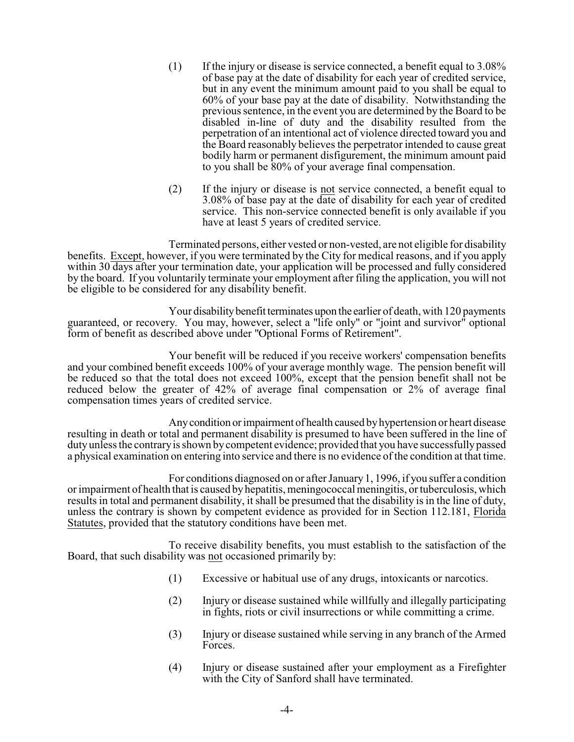- (1) If the injury or disease is service connected, a benefit equal to 3.08% of base pay at the date of disability for each year of credited service, but in any event the minimum amount paid to you shall be equal to 60% of your base pay at the date of disability. Notwithstanding the previous sentence, in the event you are determined by the Board to be disabled in-line of duty and the disability resulted from the perpetration of an intentional act of violence directed toward you and the Board reasonably believes the perpetrator intended to cause great bodily harm or permanent disfigurement, the minimum amount paid to you shall be 80% of your average final compensation.
- (2) If the injury or disease is not service connected, a benefit equal to 3.08% of base pay at the date of disability for each year of credited service. This non-service connected benefit is only available if you have at least 5 years of credited service.

Terminated persons, either vested or non-vested, are not eligible for disability benefits. Except, however, if you were terminated by the City for medical reasons, and if you apply within 30 days after your termination date, your application will be processed and fully considered by the board. If you voluntarily terminate your employment after filing the application, you will not be eligible to be considered for any disability benefit.

Your disability benefit terminates upon the earlier of death, with 120 payments guaranteed, or recovery. You may, however, select a "life only" or "joint and survivor" optional form of benefit as described above under "Optional Forms of Retirement".

Your benefit will be reduced if you receive workers' compensation benefits and your combined benefit exceeds 100% of your average monthly wage. The pension benefit will be reduced so that the total does not exceed 100%, except that the pension benefit shall not be reduced below the greater of 42% of average final compensation or 2% of average final compensation times years of credited service.

Anycondition orimpairment of health caused byhypertension or heart disease resulting in death or total and permanent disability is presumed to have been suffered in the line of dutyunless the contraryis shown bycompetent evidence; provided that you have successfullypassed a physical examination on entering into service and there is no evidence of the condition at that time.

For conditions diagnosed on or after January 1, 1996, if you suffer a condition or impairment of health that is caused byhepatitis, meningococcal meningitis, or tuberculosis, which results in total and permanent disability, it shall be presumed that the disability is in the line of duty, unless the contrary is shown by competent evidence as provided for in Section 112.181, Florida Statutes, provided that the statutory conditions have been met.

To receive disability benefits, you must establish to the satisfaction of the Board, that such disability was not occasioned primarily by:

- (1) Excessive or habitual use of any drugs, intoxicants or narcotics.
- (2) Injury or disease sustained while willfully and illegally participating in fights, riots or civil insurrections or while committing a crime.
- (3) Injury or disease sustained while serving in any branch of the Armed Forces.
- (4) Injury or disease sustained after your employment as a Firefighter with the City of Sanford shall have terminated.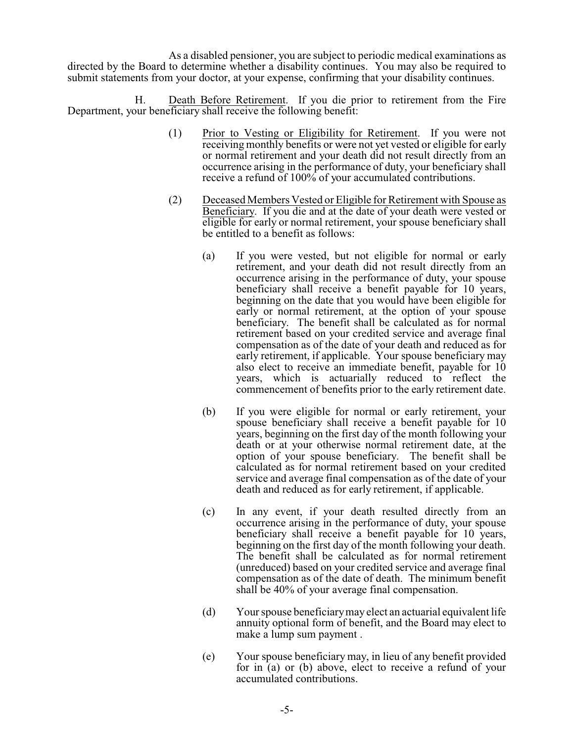As a disabled pensioner, you are subject to periodic medical examinations as directed by the Board to determine whether a disability continues. You may also be required to submit statements from your doctor, at your expense, confirming that your disability continues.

H. Death Before Retirement. If you die prior to retirement from the Fire Department, your beneficiary shall receive the following benefit:

- (1) Prior to Vesting or Eligibility for Retirement. If you were not receiving monthly benefits or were not yet vested or eligible for early or normal retirement and your death did not result directly from an occurrence arising in the performance of duty, your beneficiary shall receive a refund of 100% of your accumulated contributions.
- (2) Deceased Members Vested or Eligible for Retirement with Spouse as Beneficiary. If you die and at the date of your death were vested or eligible for early or normal retirement, your spouse beneficiary shall be entitled to a benefit as follows:
	- (a) If you were vested, but not eligible for normal or early retirement, and your death did not result directly from an occurrence arising in the performance of duty, your spouse beneficiary shall receive a benefit payable for 10 years, beginning on the date that you would have been eligible for early or normal retirement, at the option of your spouse beneficiary. The benefit shall be calculated as for normal retirement based on your credited service and average final compensation as of the date of your death and reduced as for early retirement, if applicable. Your spouse beneficiary may also elect to receive an immediate benefit, payable for 10 years, which is actuarially reduced to reflect the commencement of benefits prior to the early retirement date.
	- (b) If you were eligible for normal or early retirement, your spouse beneficiary shall receive a benefit payable for 10 years, beginning on the first day of the month following your death or at your otherwise normal retirement date, at the option of your spouse beneficiary. The benefit shall be calculated as for normal retirement based on your credited service and average final compensation as of the date of your death and reduced as for early retirement, if applicable.
	- (c) In any event, if your death resulted directly from an occurrence arising in the performance of duty, your spouse beneficiary shall receive a benefit payable for 10 years, beginning on the first day of the month following your death. The benefit shall be calculated as for normal retirement (unreduced) based on your credited service and average final compensation as of the date of death. The minimum benefit shall be 40% of your average final compensation.
	- (d) Your spouse beneficiarymay elect an actuarial equivalent life annuity optional form of benefit, and the Board may elect to make a lump sum payment .
	- (e) Your spouse beneficiary may, in lieu of any benefit provided for in (a) or (b) above, elect to receive a refund of your accumulated contributions.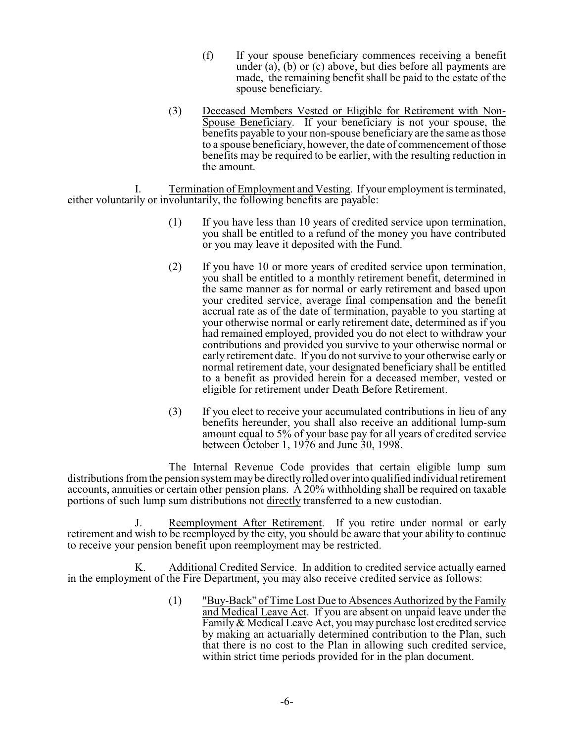- (f) If your spouse beneficiary commences receiving a benefit under  $(a)$ ,  $(b)$  or  $(c)$  above, but dies before all payments are made, the remaining benefit shall be paid to the estate of the spouse beneficiary.
- (3) Deceased Members Vested or Eligible for Retirement with Non-Spouse Beneficiary. If your beneficiary is not your spouse, the benefits payable to your non-spouse beneficiary are the same as those to a spouse beneficiary, however, the date of commencement of those benefits may be required to be earlier, with the resulting reduction in the amount.

I. Termination of Employment and Vesting. If your employment is terminated, either voluntarily or involuntarily, the following benefits are payable:

- (1) If you have less than 10 years of credited service upon termination, you shall be entitled to a refund of the money you have contributed or you may leave it deposited with the Fund.
- (2) If you have 10 or more years of credited service upon termination, you shall be entitled to a monthly retirement benefit, determined in the same manner as for normal or early retirement and based upon your credited service, average final compensation and the benefit accrual rate as of the date of termination, payable to you starting at your otherwise normal or early retirement date, determined as if you had remained employed, provided you do not elect to withdraw your contributions and provided you survive to your otherwise normal or early retirement date. If you do not survive to your otherwise early or normal retirement date, your designated beneficiary shall be entitled to a benefit as provided herein for a deceased member, vested or eligible for retirement under Death Before Retirement.
- (3) If you elect to receive your accumulated contributions in lieu of any benefits hereunder, you shall also receive an additional lump-sum amount equal to 5% of your base pay for all years of credited service between October 1,  $1976$  and June 30, 1998.

The Internal Revenue Code provides that certain eligible lump sum distributions from the pension system maybe directlyrolled over into qualified individual retirement accounts, annuities or certain other pension plans. A 20% withholding shall be required on taxable portions of such lump sum distributions not directly transferred to a new custodian.

J. Reemployment After Retirement. If you retire under normal or early retirement and wish to be reemployed by the city, you should be aware that your ability to continue to receive your pension benefit upon reemployment may be restricted.

K. Additional Credited Service. In addition to credited service actually earned in the employment of the Fire Department, you may also receive credited service as follows:

> (1) "Buy-Back" of Time Lost Due to Absences Authorized by the Family and Medical Leave Act. If you are absent on unpaid leave under the Family & Medical Leave Act, you may purchase lost credited service by making an actuarially determined contribution to the Plan, such that there is no cost to the Plan in allowing such credited service, within strict time periods provided for in the plan document.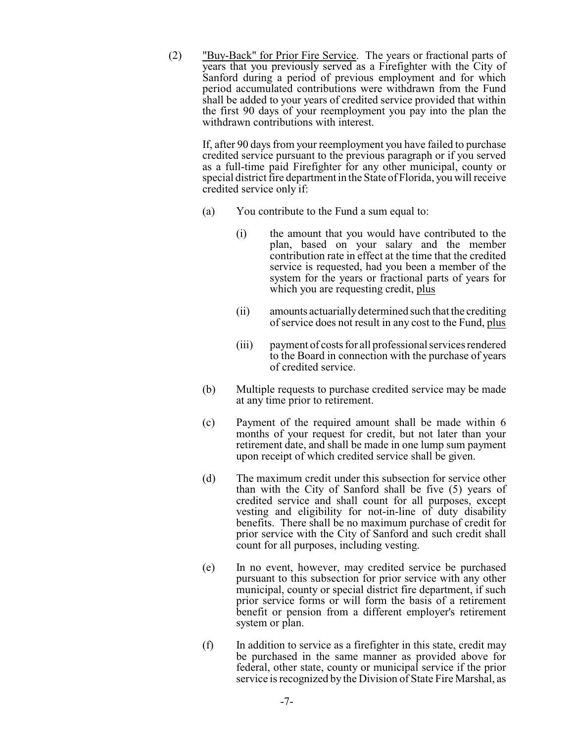(2) "Buy-Back" for Prior Fire Service. The years or fractional parts of years that you previously served as a Firefighter with the City of Sanford during a period of previous employment and for which period accumulated contributions were withdrawn from the Fund shall be added to your years of credited service provided that within the first 90 days of your reemployment you pay into the plan the withdrawn contributions with interest.

If, after 90 days from your reemployment you have failed to purchase credited service pursuant to the previous paragraph or if you served as a full-time paid Firefighter for any other municipal, county or special district fire department in the State of Florida, you will receive credited service only if:

- (a) You contribute to the Fund a sum equal to:
	- (i) the amount that you would have contributed to the plan, based on your salary and the member contribution rate in effect at the time that the credited service is requested, had you been a member of the system for the years or fractional parts of years for which you are requesting credit, plus
	- (ii) amounts actuariallydetermined such that the crediting of service does not result in any cost to the Fund, plus
	- (iii) payment of costs for all professional services rendered to the Board in connection with the purchase of years of credited service.
- (b) Multiple requests to purchase credited service may be made at any time prior to retirement.
- (c) Payment of the required amount shall be made within 6 months of your request for credit, but not later than your retirement date, and shall be made in one lump sum payment upon receipt of which credited service shall be given.
- (d) The maximum credit under this subsection for service other than with the City of Sanford shall be five (5) years of credited service and shall count for all purposes, except vesting and eligibility for not-in-line of duty disability benefits. There shall be no maximum purchase of credit for prior service with the City of Sanford and such credit shall count for all purposes, including vesting.
- (e) In no event, however, may credited service be purchased pursuant to this subsection for prior service with any other municipal, county or special district fire department, if such prior service forms or will form the basis of a retirement benefit or pension from a different employer's retirement system or plan.
- (f) In addition to service as a firefighter in this state, credit may be purchased in the same manner as provided above for federal, other state, county or municipal service if the prior service is recognized by the Division of State Fire Marshal, as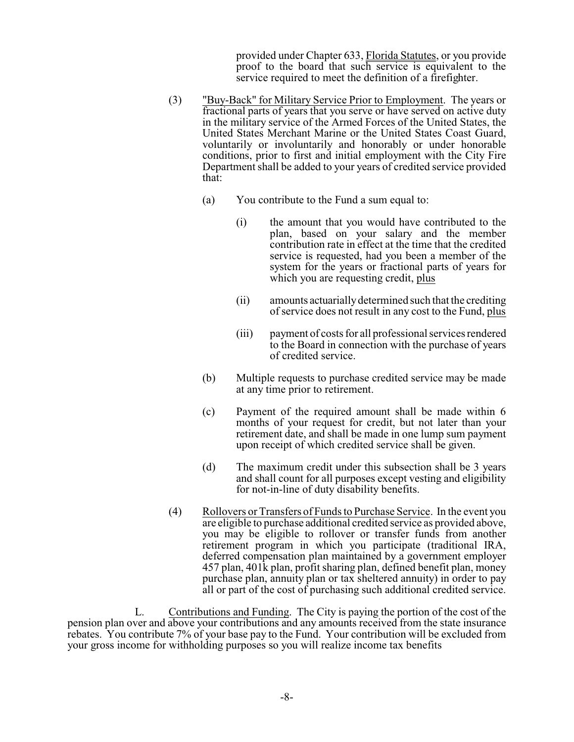provided under Chapter 633, Florida Statutes, or you provide proof to the board that such service is equivalent to the service required to meet the definition of a firefighter.

- (3) "Buy-Back" for Military Service Prior to Employment. The years or fractional parts of years that you serve or have served on active duty in the military service of the Armed Forces of the United States, the United States Merchant Marine or the United States Coast Guard, voluntarily or involuntarily and honorably or under honorable conditions, prior to first and initial employment with the City Fire Department shall be added to your years of credited service provided that:
	- (a) You contribute to the Fund a sum equal to:
		- (i) the amount that you would have contributed to the plan, based on your salary and the member contribution rate in effect at the time that the credited service is requested, had you been a member of the system for the years or fractional parts of years for which you are requesting credit, plus
		- (ii) amounts actuariallydetermined such that the crediting of service does not result in any cost to the Fund, plus
		- (iii) payment of costs for all professional services rendered to the Board in connection with the purchase of years of credited service.
	- (b) Multiple requests to purchase credited service may be made at any time prior to retirement.
	- (c) Payment of the required amount shall be made within 6 months of your request for credit, but not later than your retirement date, and shall be made in one lump sum payment upon receipt of which credited service shall be given.
	- (d) The maximum credit under this subsection shall be 3 years and shall count for all purposes except vesting and eligibility for not-in-line of duty disability benefits.
- (4) Rollovers or Transfers of Funds to Purchase Service. In the event you are eligible to purchase additional credited service as provided above, you may be eligible to rollover or transfer funds from another retirement program in which you participate (traditional IRA, deferred compensation plan maintained by a government employer 457 plan, 401k plan, profit sharing plan, defined benefit plan, money purchase plan, annuity plan or tax sheltered annuity) in order to pay all or part of the cost of purchasing such additional credited service.

L. Contributions and Funding. The City is paying the portion of the cost of the pension plan over and above your contributions and any amounts received from the state insurance rebates. You contribute 7% of your base pay to the Fund. Your contribution will be excluded from your gross income for withholding purposes so you will realize income tax benefits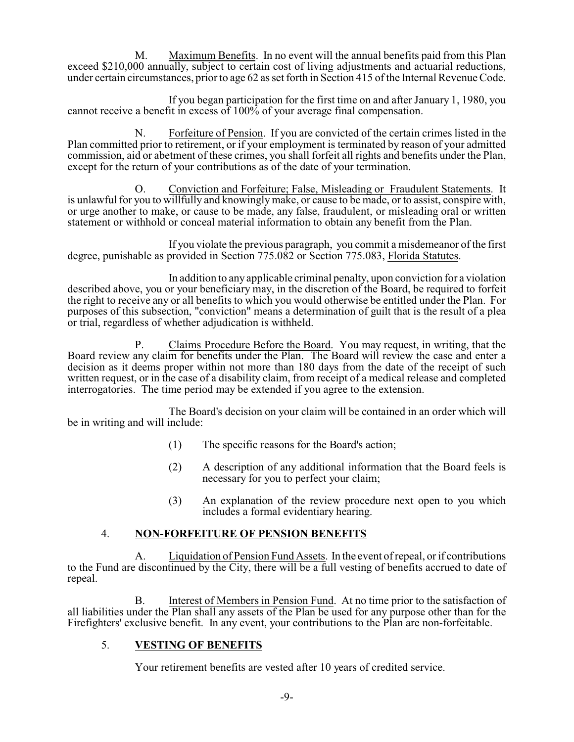M. Maximum Benefits. In no event will the annual benefits paid from this Plan exceed \$210,000 annually, subject to certain cost of living adjustments and actuarial reductions, under certain circumstances, prior to age 62 as set forth in Section 415 of the Internal Revenue Code.

If you began participation for the first time on and after January 1, 1980, you cannot receive a benefit in excess of 100% of your average final compensation.

N. Forfeiture of Pension. If you are convicted of the certain crimes listed in the Plan committed prior to retirement, or if your employment is terminated by reason of your admitted commission, aid or abetment of these crimes, you shall forfeit all rights and benefits under the Plan, except for the return of your contributions as of the date of your termination.

O. Conviction and Forfeiture; False, Misleading or Fraudulent Statements. It is unlawful for you to willfully and knowinglymake, or cause to be made, or to assist, conspire with, or urge another to make, or cause to be made, any false, fraudulent, or misleading oral or written statement or withhold or conceal material information to obtain any benefit from the Plan.

If you violate the previous paragraph, you commit a misdemeanor of the first degree, punishable as provided in Section 775.082 or Section 775.083, Florida Statutes.

In addition to any applicable criminal penalty, upon conviction for a violation described above, you or your beneficiary may, in the discretion of the Board, be required to forfeit the right to receive any or all benefits to which you would otherwise be entitled under the Plan. For purposes of this subsection, "conviction" means a determination of guilt that is the result of a plea or trial, regardless of whether adjudication is withheld.

P. Claims Procedure Before the Board. You may request, in writing, that the Board review any claim for benefits under the Plan. The Board will review the case and enter a decision as it deems proper within not more than 180 days from the date of the receipt of such written request, or in the case of a disability claim, from receipt of a medical release and completed interrogatories. The time period may be extended if you agree to the extension.

The Board's decision on your claim will be contained in an order which will be in writing and will include:

- (1) The specific reasons for the Board's action;
- (2) A description of any additional information that the Board feels is necessary for you to perfect your claim;
- (3) An explanation of the review procedure next open to you which includes a formal evidentiary hearing.

#### 4. **NON-FORFEITURE OF PENSION BENEFITS**

A. Liquidation of Pension Fund Assets. In the event of repeal, or if contributions to the Fund are discontinued by the City, there will be a full vesting of benefits accrued to date of repeal.

B. Interest of Members in Pension Fund. At no time prior to the satisfaction of all liabilities under the Plan shall any assets of the Plan be used for any purpose other than for the Firefighters' exclusive benefit. In any event, your contributions to the Plan are non-forfeitable.

# 5. **VESTING OF BENEFITS**

Your retirement benefits are vested after 10 years of credited service.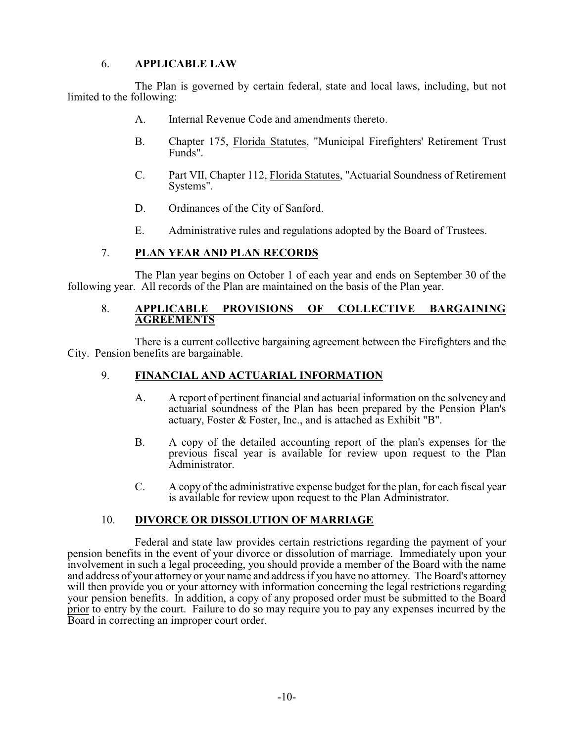# 6. **APPLICABLE LAW**

The Plan is governed by certain federal, state and local laws, including, but not limited to the following:

- A. Internal Revenue Code and amendments thereto.
- B. Chapter 175, Florida Statutes, "Municipal Firefighters' Retirement Trust Funds".
- C. Part VII, Chapter 112, Florida Statutes, "Actuarial Soundness of Retirement Systems".
- D. Ordinances of the City of Sanford.
- E. Administrative rules and regulations adopted by the Board of Trustees.

# 7. **PLAN YEAR AND PLAN RECORDS**

The Plan year begins on October 1 of each year and ends on September 30 of the following year. All records of the Plan are maintained on the basis of the Plan year.

#### 8. **APPLICABLE PROVISIONS OF COLLECTIVE BARGAINING AGREEMENTS**

There is a current collective bargaining agreement between the Firefighters and the City. Pension benefits are bargainable.

#### 9. **FINANCIAL AND ACTUARIAL INFORMATION**

- A. A report of pertinent financial and actuarial information on the solvency and actuarial soundness of the Plan has been prepared by the Pension Plan's actuary, Foster & Foster, Inc., and is attached as Exhibit "B".
- B. A copy of the detailed accounting report of the plan's expenses for the previous fiscal year is available for review upon request to the Plan Administrator.
- C. A copy of the administrative expense budget for the plan, for each fiscal year is available for review upon request to the Plan Administrator.

#### 10. **DIVORCE OR DISSOLUTION OF MARRIAGE**

Federal and state law provides certain restrictions regarding the payment of your pension benefits in the event of your divorce or dissolution of marriage. Immediately upon your involvement in such a legal proceeding, you should provide a member of the Board with the name and address of your attorney or your name and address if you have no attorney. The Board's attorney will then provide you or your attorney with information concerning the legal restrictions regarding your pension benefits. In addition, a copy of any proposed order must be submitted to the Board prior to entry by the court. Failure to do so may require you to pay any expenses incurred by the Board in correcting an improper court order.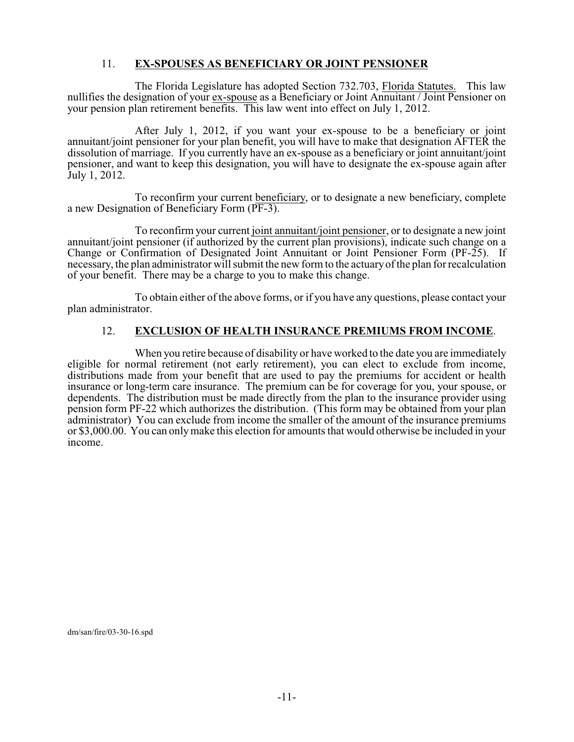#### 11. **EX-SPOUSES AS BENEFICIARY OR JOINT PENSIONER**

The Florida Legislature has adopted Section 732.703, Florida Statutes. This law nullifies the designation of your ex-spouse as a Beneficiary or Joint Annuitant / Joint Pensioner on your pension plan retirement benefits. This law went into effect on July 1, 2012.

After July 1, 2012, if you want your ex-spouse to be a beneficiary or joint annuitant/joint pensioner for your plan benefit, you will have to make that designation AFTER the dissolution of marriage. If you currently have an ex-spouse as a beneficiary or joint annuitant/joint pensioner, and want to keep this designation, you will have to designate the ex-spouse again after July 1, 2012.

To reconfirm your current beneficiary, or to designate a new beneficiary, complete a new Designation of Beneficiary Form (PF-3).

To reconfirm your current joint annuitant/joint pensioner, or to designate a new joint annuitant/joint pensioner (if authorized by the current plan provisions), indicate such change on a Change or Confirmation of Designated Joint Annuitant or Joint Pensioner Form (PF-25). If necessary, the plan administrator will submit the new form to the actuaryof the plan for recalculation of your benefit. There may be a charge to you to make this change.

To obtain either of the above forms, or if you have any questions, please contact your plan administrator.

#### 12. **EXCLUSION OF HEALTH INSURANCE PREMIUMS FROM INCOME**.

When you retire because of disability or have worked to the date you are immediately eligible for normal retirement (not early retirement), you can elect to exclude from income, distributions made from your benefit that are used to pay the premiums for accident or health insurance or long-term care insurance. The premium can be for coverage for you, your spouse, or dependents. The distribution must be made directly from the plan to the insurance provider using pension form PF-22 which authorizes the distribution. (This form may be obtained from your plan administrator) You can exclude from income the smaller of the amount of the insurance premiums or \$3,000.00. You can onlymake this election for amounts that would otherwise be included in your income.

dm/san/fire/03-30-16.spd